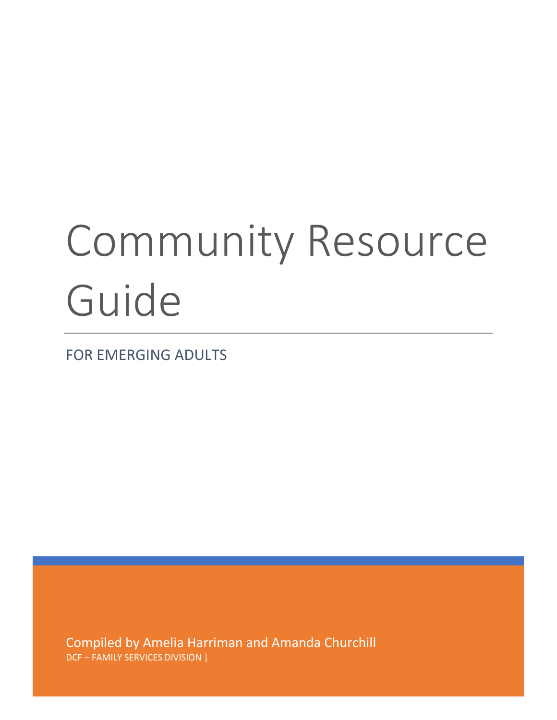# Community Resource Guide

FOR EMERGING ADULTS

Compiled by Amelia Harriman and Amanda Churchill DCF – FAMILY SERVICES DIVISION |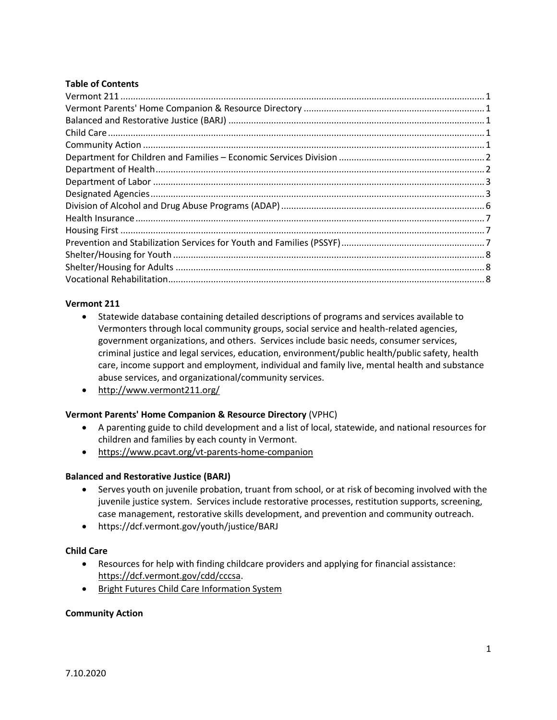# **Table of Contents**

#### <span id="page-1-0"></span>**Vermont 211**

- Statewide database containing detailed descriptions of programs and services available to Vermonters through local community groups, social service and health-related agencies, government organizations, and others. Services include basic needs, consumer services, criminal justice and legal services, education, environment/public health/public safety, health care, income support and employment, individual and family live, mental health and substance abuse services, and organizational/community services.
- http://www.vermont211.org/

# <span id="page-1-1"></span>**Vermont Parents' Home Companion & Resource Directory** (VPHC)

- A parenting guide to child development and a list of local, statewide, and national resources for children and families by each county in Vermont.
- <https://www.pcavt.org/vt-parents-home-companion>

#### <span id="page-1-2"></span>**Balanced and Restorative Justice (BARJ)**

- Serves youth on juvenile probation, truant from school, or at risk of becoming involved with the juvenile justice system. Services include restorative processes, restitution supports, screening, case management, restorative skills development, and prevention and community outreach.
- https://dcf.vermont.gov/youth/justice/BARJ

#### <span id="page-1-3"></span>**Child Care**

- Resources for help with finding childcare providers and applying for financial assistance: [https://dcf.vermont.gov/cdd/cccsa.](https://dcf.vermont.gov/cdd/cccsa)
- [Bright Futures Child Care Information System](http://www.brightfutures.dcf.state.vt.us/vtcc/reset.do?0Mmr3gjumkz13-SgYEjWekr3%3dxguw3YEa.aU7zaju.xnn.xGOOF-Oq-Gq%2bSS%256UOq%256UhS.0DGgwEkeUs3peYY.wjRszYgwUVm3kmLmkkUs_umUkYAgsUWVjUVm3mWgwkmpwUVm31mLUjsegkz13SG0DqOqGqS0FO_SD)

#### <span id="page-1-4"></span>**Community Action**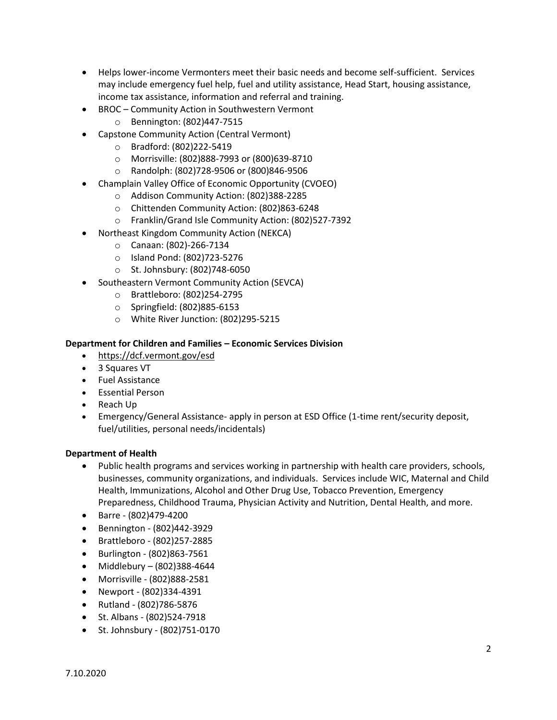- Helps lower-income Vermonters meet their basic needs and become self-sufficient. Services may include emergency fuel help, fuel and utility assistance, Head Start, housing assistance, income tax assistance, information and referral and training.
- BROC Community Action in Southwestern Vermont
	- o Bennington: (802)447-7515
- Capstone Community Action (Central Vermont)
	- o Bradford: (802)222-5419
	- o Morrisville: (802)888-7993 or (800)639-8710
	- o Randolph: (802)728-9506 or (800)846-9506
- Champlain Valley Office of Economic Opportunity (CVOEO)
	- o Addison Community Action: (802)388-2285
	- o Chittenden Community Action: (802)863-6248
	- o Franklin/Grand Isle Community Action: (802)527-7392
- Northeast Kingdom Community Action (NEKCA)
	- o Canaan: (802)-266-7134
	- o Island Pond: (802)723-5276
	- o St. Johnsbury: (802)748-6050
- Southeastern Vermont Community Action (SEVCA)
	- o Brattleboro: (802)254-2795
	- o Springfield: (802)885-6153
	- o White River Junction: (802)295-5215

#### <span id="page-2-0"></span>**Department for Children and Families – Economic Services Division**

- <https://dcf.vermont.gov/esd>
- 3 Squares VT
- Fuel Assistance
- Essential Person
- Reach Up
- Emergency/General Assistance- apply in person at ESD Office (1-time rent/security deposit, fuel/utilities, personal needs/incidentals)

# <span id="page-2-1"></span>**Department of Health**

- Public health programs and services working in partnership with health care providers, schools, businesses, community organizations, and individuals. Services include WIC, Maternal and Child Health, Immunizations, Alcohol and Other Drug Use, Tobacco Prevention, Emergency Preparedness, Childhood Trauma, Physician Activity and Nutrition, Dental Health, and more.
- Barre (802)479-4200
- Bennington (802)442-3929
- Brattleboro (802)257-2885
- Burlington (802)863-7561
- Middlebury (802)388-4644
- Morrisville (802)888-2581
- Newport (802)334-4391
- Rutland (802)786-5876
- St. Albans (802)524-7918
- St. Johnsbury (802)751-0170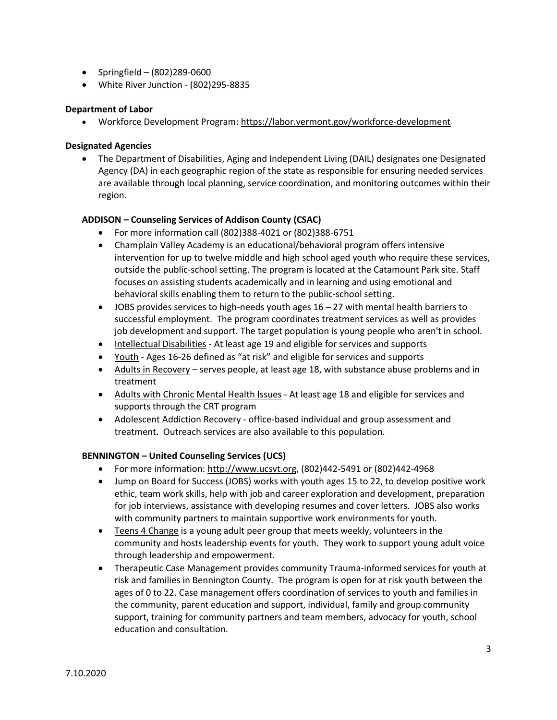- Springfield (802)289-0600
- White River Junction (802)295-8835

#### <span id="page-3-0"></span>**Department of Labor**

• Workforce Development Program: <https://labor.vermont.gov/workforce-development>

#### <span id="page-3-1"></span>**Designated Agencies**

• The Department of Disabilities, Aging and Independent Living (DAIL) designates one Designated Agency (DA) in each geographic region of the state as responsible for ensuring needed services are available through local planning, service coordination, and monitoring outcomes within their region.

# **ADDISON – Counseling Services of Addison County (CSAC)**

- For more information call (802)388-4021 or (802)388-6751
- Champlain Valley Academy is an educational/behavioral program offers intensive intervention for up to twelve middle and high school aged youth who require these services, outside the public-school setting. The program is located at the Catamount Park site. Staff focuses on assisting students academically and in learning and using emotional and behavioral skills enabling them to return to the public-school setting.
- JOBS provides services to high-needs youth ages  $16 27$  with mental health barriers to successful employment. The program coordinates treatment services as well as provides job development and support. The target population is young people who aren't in school.
- [Intellectual Disabilities](http://www.csac-vt.org/what_we_do/developmental-services.html) At least age 19 and eligible for services and supports
- [Youth](http://www.csac-vt.org/what_we_do/youth-and-family-programs.html) Ages 16-26 defined as "at risk" and eligible for services and supports
- [Adults in Recovery](http://www.csac-vt.org/what_we_do/substance-abuse-services.html) serves people, at least age 18, with substance abuse problems and in treatment
- [Adults with Chronic Mental Health Issues](http://www.csac-vt.org/what_we_do/community-rehabilitation-and-treatment.html) At least age 18 and eligible for services and supports through the CRT program
- Adolescent Addiction Recovery office-based individual and group assessment and treatment. Outreach services are also available to this population.

# **BENNINGTON – United Counseling Services (UCS)**

- For more information: [http://www.ucsvt.org,](http://www.ucsvt.org/) (802)442-5491 or (802)442-4968
- Jump on Board for Success (JOBS) works with youth ages 15 to 22, to develop positive work ethic, team work skills, help with job and career exploration and development, preparation for job interviews, assistance with developing resumes and cover letters. JOBS also works with community partners to maintain supportive work environments for youth.
- [Teens 4 Change](https://www.ucsvt.org/teens-for-change/) is a young adult peer group that meets weekly, volunteers in the community and hosts leadership events for youth. They work to support young adult voice through leadership and empowerment.
- Therapeutic Case Management provides community Trauma-informed services for youth at risk and families in Bennington County. The program is open for at risk youth between the ages of 0 to 22. Case management offers coordination of services to youth and families in the community, parent education and support, individual, family and group community support, training for community partners and team members, advocacy for youth, school education and consultation.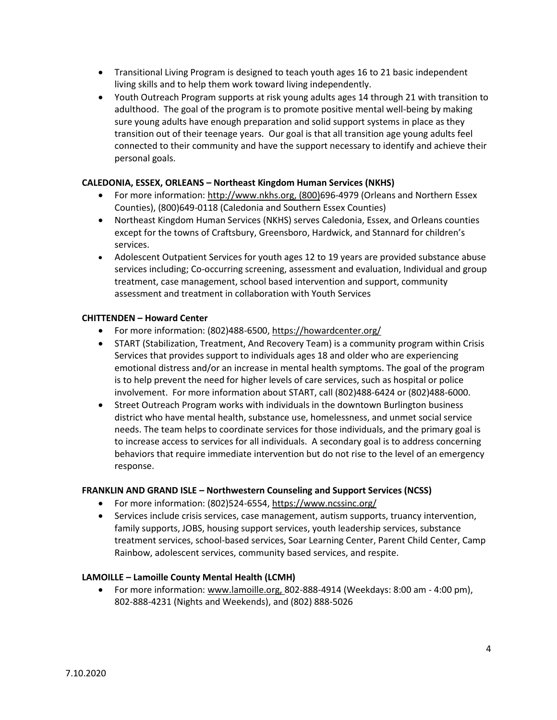- Transitional Living Program is designed to teach youth ages 16 to 21 basic independent living skills and to help them work toward living independently.
- Youth Outreach Program supports at risk young adults ages 14 through 21 with transition to adulthood. The goal of the program is to promote positive mental well-being by making sure young adults have enough preparation and solid support systems in place as they transition out of their teenage years. Our goal is that all transition age young adults feel connected to their community and have the support necessary to identify and achieve their personal goals.

# **CALEDONIA, ESSEX, ORLEANS – Northeast Kingdom Human Services (NKHS)**

- For more information: [http://www.nkhs.org,](http://www.nkhs.org/) (800)696-4979 (Orleans and Northern Essex Counties), (800)649-0118 (Caledonia and Southern Essex Counties)
- Northeast Kingdom Human Services (NKHS) serves Caledonia, Essex, and Orleans counties except for the towns of Craftsbury, Greensboro, Hardwick, and Stannard for children's services.
- Adolescent Outpatient Services for youth ages 12 to 19 years are provided substance abuse services including; Co-occurring screening, assessment and evaluation, Individual and group treatment, case management, school based intervention and support, community assessment and treatment in collaboration with Youth Services

# **CHITTENDEN – Howard Center**

- For more information: (802)488-6500,<https://howardcenter.org/>
- START (Stabilization, Treatment, And Recovery Team) is a community program within Crisis Services that provides support to individuals ages 18 and older who are experiencing emotional distress and/or an increase in mental health symptoms. The goal of the program is to help prevent the need for higher levels of care services, such as hospital or police involvement. For more information about START, call (802)488-6424 or (802)488-6000.
- Street Outreach Program works with individuals in the downtown Burlington business district who have mental health, substance use, homelessness, and unmet social service needs. The team helps to coordinate services for those individuals, and the primary goal is to increase access to services for all individuals. A secondary goal is to address concerning behaviors that require immediate intervention but do not rise to the level of an emergency response.

# **FRANKLIN AND GRAND ISLE – Northwestern Counseling and Support Services (NCSS)**

- For more information: (802)524-6554,<https://www.ncssinc.org/>
- Services include crisis services, case management, autism supports, truancy intervention, family supports, JOBS, housing support services, youth leadership services, substance treatment services, school-based services, Soar Learning Center, Parent Child Center, Camp Rainbow, adolescent services, community based services, and respite.

# **LAMOILLE – Lamoille County Mental Health (LCMH)**

• For more information: [www.lamoille.org,](http://www.lamoille.org/) 802-888-4914 (Weekdays: 8:00 am - 4:00 pm), 802-888-4231 (Nights and Weekends), and (802) 888-5026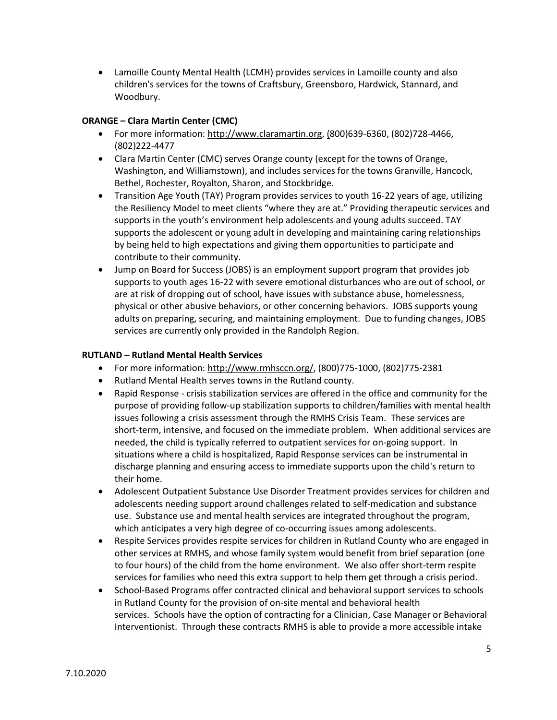• Lamoille County Mental Health (LCMH) provides services in Lamoille county and also children's services for the towns of Craftsbury, Greensboro, Hardwick, Stannard, and Woodbury.

# **ORANGE – Clara Martin Center (CMC)**

- For more information: [http://www.claramartin.org,](http://www.claramartin.org/) (800)639-6360, (802)728-4466, (802)222-4477
- Clara Martin Center (CMC) serves Orange county (except for the towns of Orange, Washington, and Williamstown), and includes services for the towns Granville, Hancock, Bethel, Rochester, Royalton, Sharon, and Stockbridge.
- Transition Age Youth (TAY) Program provides services to youth 16-22 years of age, utilizing the Resiliency Model to meet clients "where they are at." Providing therapeutic services and supports in the youth's environment help adolescents and young adults succeed. TAY supports the adolescent or young adult in developing and maintaining caring relationships by being held to high expectations and giving them opportunities to participate and contribute to their community.
- Jump on Board for Success (JOBS) is an employment support program that provides job supports to youth ages 16-22 with severe emotional disturbances who are out of school, or are at risk of dropping out of school, have issues with substance abuse, homelessness, physical or other abusive behaviors, or other concerning behaviors. JOBS supports young adults on preparing, securing, and maintaining employment. Due to funding changes, JOBS services are currently only provided in the Randolph Region.

# **RUTLAND – Rutland Mental Health Services**

- For more information: [http://www.rmhsccn.org/,](http://www.rmhsccn.org/) (800)775-1000, (802)775-2381
- Rutland Mental Health serves towns in the Rutland county.
- Rapid Response crisis stabilization services are offered in the office and community for the purpose of providing follow-up stabilization supports to children/families with mental health issues following a crisis assessment through the RMHS Crisis Team. These services are short-term, intensive, and focused on the immediate problem. When additional services are needed, the child is typically referred to outpatient services for on-going support. In situations where a child is hospitalized, Rapid Response services can be instrumental in discharge planning and ensuring access to immediate supports upon the child's return to their home.
- Adolescent Outpatient Substance Use Disorder Treatment provides services for children and adolescents needing support around challenges related to self-medication and substance use. Substance use and mental health services are integrated throughout the program, which anticipates a very high degree of co-occurring issues among adolescents.
- Respite Services provides respite services for children in Rutland County who are engaged in other services at RMHS, and whose family system would benefit from brief separation (one to four hours) of the child from the home environment. We also offer short-term respite services for families who need this extra support to help them get through a crisis period.
- School-Based Programs offer contracted clinical and behavioral support services to schools in Rutland County for the provision of on-site mental and behavioral health services. Schools have the option of contracting for a Clinician, Case Manager or Behavioral Interventionist. Through these contracts RMHS is able to provide a more accessible intake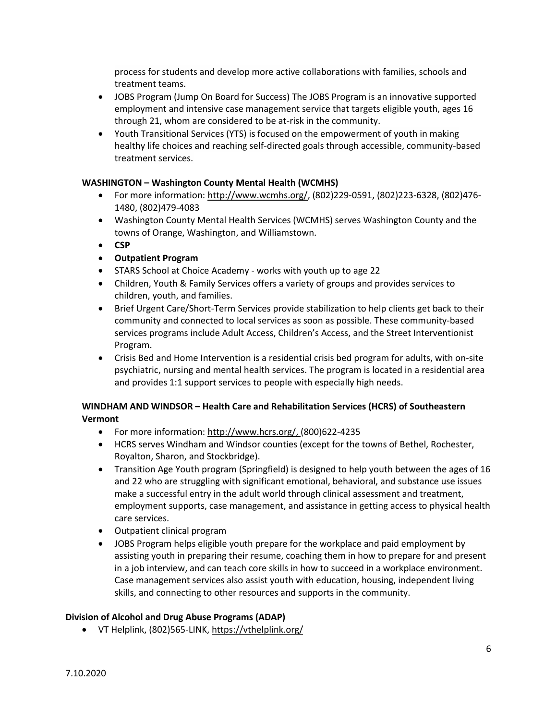process for students and develop more active collaborations with families, schools and treatment teams.

- JOBS Program (Jump On Board for Success) The JOBS Program is an innovative supported employment and intensive case management service that targets eligible youth, ages 16 through 21, whom are considered to be at-risk in the community.
- Youth Transitional Services (YTS) is focused on the empowerment of youth in making healthy life choices and reaching self-directed goals through accessible, community-based treatment services.

# **WASHINGTON – Washington County Mental Health (WCMHS)**

- For more information: [http://www.wcmhs.org/, \(](http://www.wcmhs.org/,)802)229-0591, (802)223-6328, (802)476- 1480, (802)479-4083
- Washington County Mental Health Services (WCMHS) serves Washington County and the towns of Orange, Washington, and Williamstown.
- **CSP**
- **Outpatient Program**
- STARS School at Choice Academy works with youth up to age 22
- Children, Youth & Family Services offers a variety of groups and provides services to children, youth, and families.
- Brief Urgent Care/Short-Term Services provide stabilization to help clients get back to their community and connected to local services as soon as possible. These community-based services programs include Adult Access, Children's Access, and the Street Interventionist Program.
- Crisis Bed and Home Intervention is a residential crisis bed program for adults, with on-site psychiatric, nursing and mental health services. The program is located in a residential area and provides 1:1 support services to people with especially high needs.

# **WINDHAM AND WINDSOR – Health Care and Rehabilitation Services (HCRS) of Southeastern Vermont**

- For more information: [http://www.hcrs.org/,](http://www.hcrs.org/) (800)622-4235
- HCRS serves Windham and Windsor counties (except for the towns of Bethel, Rochester, Royalton, Sharon, and Stockbridge).
- Transition Age Youth program (Springfield) is designed to help youth between the ages of 16 and 22 who are struggling with significant emotional, behavioral, and substance use issues make a successful entry in the adult world through clinical assessment and treatment, employment supports, case management, and assistance in getting access to physical health care services.
- Outpatient clinical program
- JOBS Program helps eligible youth prepare for the workplace and paid employment by assisting youth in preparing their resume, coaching them in how to prepare for and present in a job interview, and can teach core skills in how to succeed in a workplace environment. Case management services also assist youth with education, housing, independent living skills, and connecting to other resources and supports in the community.

# <span id="page-6-0"></span>**Division of Alcohol and Drug Abuse Programs (ADAP)**

• VT Helplink, (802)565-LINK[, https://vthelplink.org/](https://vthelplink.org/)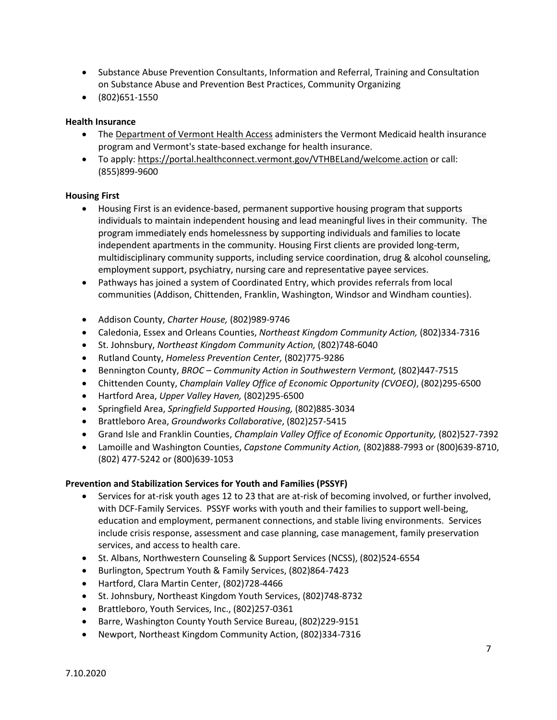- Substance Abuse Prevention Consultants, Information and Referral, Training and Consultation on Substance Abuse and Prevention Best Practices, Community Organizing
- (802)651-1550

# <span id="page-7-0"></span>**Health Insurance**

- The [Department of Vermont Health Access](http://dvha.vermont.gov/) administers the Vermont Medicaid health insurance program and Vermont's state-based exchange for health insurance.
- To apply[: https://portal.healthconnect.vermont.gov/VTHBELand/welcome.action](https://portal.healthconnect.vermont.gov/VTHBELand/welcome.action) or call: (855)899-9600

#### <span id="page-7-1"></span>**Housing First**

- Housing First is an evidence-based, permanent supportive housing program that supports individuals to maintain independent housing and lead meaningful lives in their community. The program immediately ends homelessness by supporting individuals and families to locate independent apartments in the community. Housing First clients are provided long-term, multidisciplinary community supports, including service coordination, drug & alcohol counseling, employment support, psychiatry, nursing care and representative payee services.
- Pathways has joined a system of Coordinated Entry, which provides referrals from local communities (Addison, Chittenden, Franklin, Washington, Windsor and Windham counties).
- Addison County, *Charter House,* (802)989-9746
- Caledonia, Essex and Orleans Counties, *Northeast Kingdom Community Action,* (802)334-7316
- St. Johnsbury, *Northeast Kingdom Community Action,* (802)748-6040
- Rutland County, *Homeless Prevention Center,* (802)775-9286
- Bennington County, *BROC – Community Action in Southwestern Vermont,* (802)447-7515
- Chittenden County, *Champlain Valley Office of Economic Opportunity (CVOEO)*, (802)295-6500
- Hartford Area, *Upper Valley Haven,* (802)295-6500
- Springfield Area, *Springfield Supported Housing,* (802)885-3034
- Brattleboro Area, *Groundworks Collaborative*, (802)257-5415
- Grand Isle and Franklin Counties, *Champlain Valley Office of Economic Opportunity,* (802)527-7392
- Lamoille and Washington Counties, *Capstone Community Action,* (802)888-7993 or (800)639-8710, (802) 477-5242 or (800)639-1053

# <span id="page-7-2"></span>**Prevention and Stabilization Services for Youth and Families (PSSYF)**

- Services for at-risk youth ages 12 to 23 that are at-risk of becoming involved, or further involved, with DCF-Family Services. PSSYF works with youth and their families to support well-being, education and employment, permanent connections, and stable living environments. Services include crisis response, assessment and case planning, case management, family preservation services, and access to health care.
- St. Albans, Northwestern Counseling & Support Services (NCSS), (802)524-6554
- Burlington, Spectrum Youth & Family Services, (802)864-7423
- Hartford, Clara Martin Center, (802)728-4466
- St. Johnsbury, Northeast Kingdom Youth Services, (802)748-8732
- Brattleboro, Youth Services, Inc., (802)257-0361
- Barre, Washington County Youth Service Bureau, (802)229-9151
- Newport, Northeast Kingdom Community Action, (802)334-7316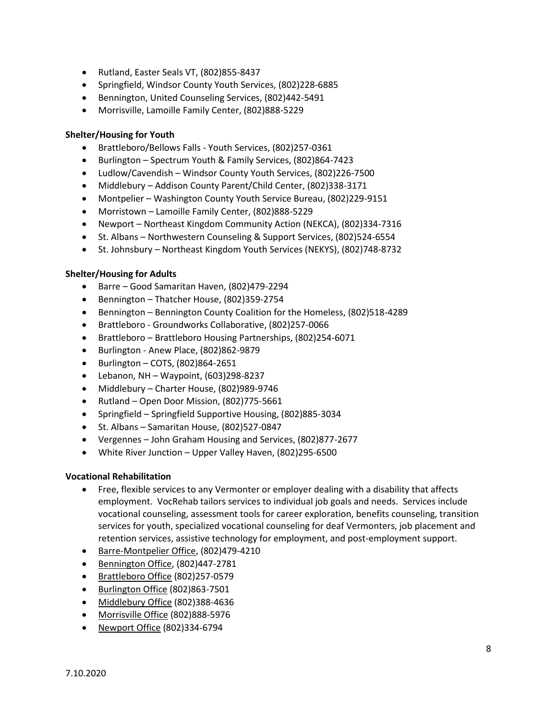- Rutland, Easter Seals VT, (802)855-8437
- Springfield, Windsor County Youth Services, (802)228-6885
- Bennington, United Counseling Services, (802)442-5491
- Morrisville, Lamoille Family Center, (802)888-5229

#### <span id="page-8-0"></span>**Shelter/Housing for Youth**

- Brattleboro/Bellows Falls Youth Services, (802)257-0361
- Burlington Spectrum Youth & Family Services, (802)864-7423
- Ludlow/Cavendish Windsor County Youth Services, (802)226-7500
- Middlebury Addison County Parent/Child Center, (802)338-3171
- Montpelier Washington County Youth Service Bureau, (802)229-9151
- Morristown Lamoille Family Center, (802)888-5229
- Newport Northeast Kingdom Community Action (NEKCA), (802)334-7316
- St. Albans Northwestern Counseling & Support Services, (802)524-6554
- St. Johnsbury Northeast Kingdom Youth Services (NEKYS), (802)748-8732

#### <span id="page-8-1"></span>**Shelter/Housing for Adults**

- Barre Good Samaritan Haven, (802)479-2294
- Bennington Thatcher House, (802)359-2754
- Bennington Bennington County Coalition for the Homeless, (802)518-4289
- Brattleboro Groundworks Collaborative, (802)257-0066
- Brattleboro Brattleboro Housing Partnerships, (802)254-6071
- Burlington Anew Place, (802)862-9879
- Burlington COTS, (802)864-2651
- $\bullet$  Lebanon, NH Waypoint, (603)298-8237
- Middlebury Charter House, (802)989-9746
- Rutland Open Door Mission, (802)775-5661
- Springfield Springfield Supportive Housing, (802)885-3034
- St. Albans Samaritan House, (802)527-0847
- Vergennes John Graham Housing and Services, (802)877-2677
- White River Junction Upper Valley Haven, (802)295-6500

# <span id="page-8-2"></span>**Vocational Rehabilitation**

- Free, flexible services to any Vermonter or employer dealing with a disability that affects employment. VocRehab tailors services to individual job goals and needs. Services include vocational counseling, assessment tools for career exploration, benefits counseling, transition services for youth, specialized vocational counseling for deaf Vermonters, job placement and retention services, assistive technology for employment, and post-employment support.
- [Barre-Montpelier Office,](mailto:holli.vidal@vermont.gov) (802)479-4210
- [Bennington Office,](mailto:melissa.grantl@vermont.gov) (802)447-2781
- [Brattleboro Office](mailto:melanie.jones@vermont.gov) (802)257-0579
- [Burlington Office](mailto:megan.brown@vermont.gov) (802)863-7501
- [Middlebury Office](mailto:sarahjane.kimball@vermont.gov) (802)388-4636
- [Morrisville Office](mailto:Jessica.Glodgett@vermont.gov) (802)888-5976
- [Newport Office](mailto:cindy.vincent-goodyear@vermont.gov) (802)334-6794